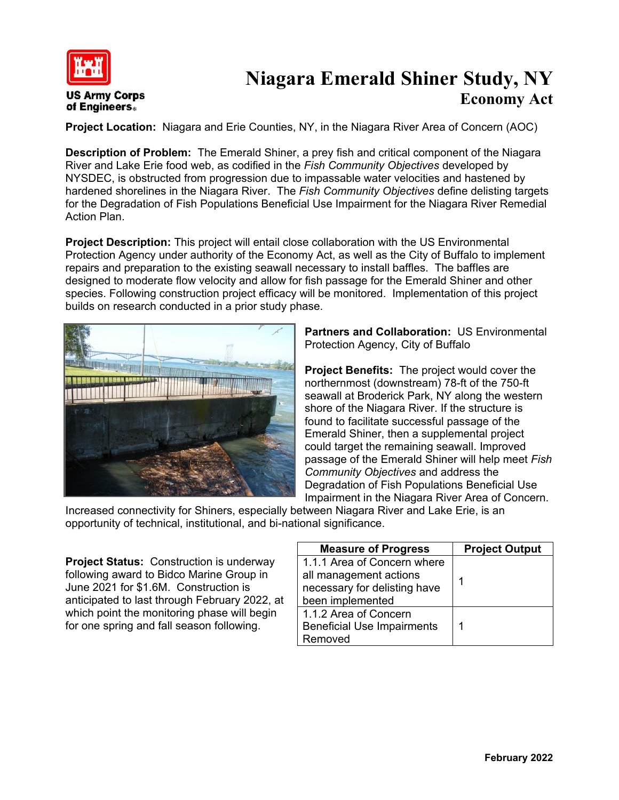

## **Niagara Emerald Shiner Study, NY Economy Act**

**Project Location:** Niagara and Erie Counties, NY, in the Niagara River Area of Concern (AOC)

**Description of Problem:** The Emerald Shiner, a prey fish and critical component of the Niagara River and Lake Erie food web, as codified in the *Fish Community Objectives* developed by NYSDEC, is obstructed from progression due to impassable water velocities and hastened by hardened shorelines in the Niagara River. The *Fish Community Objectives* define delisting targets for the Degradation of Fish Populations Beneficial Use Impairment for the Niagara River Remedial Action Plan.

**Project Description:** This project will entail close collaboration with the US Environmental Protection Agency under authority of the Economy Act, as well as the City of Buffalo to implement repairs and preparation to the existing seawall necessary to install baffles. The baffles are designed to moderate flow velocity and allow for fish passage for the Emerald Shiner and other species. Following construction project efficacy will be monitored. Implementation of this project builds on research conducted in a prior study phase.



**Partners and Collaboration:** US Environmental Protection Agency, City of Buffalo

**Project Benefits:** The project would cover the northernmost (downstream) 78-ft of the 750-ft seawall at Broderick Park, NY along the western shore of the Niagara River. If the structure is found to facilitate successful passage of the Emerald Shiner, then a supplemental project could target the remaining seawall. Improved passage of the Emerald Shiner will help meet *Fish Community Objectives* and address the Degradation of Fish Populations Beneficial Use Impairment in the Niagara River Area of Concern.

Increased connectivity for Shiners, especially between Niagara River and Lake Erie, is an opportunity of technical, institutional, and bi-national significance.

**Project Status:** Construction is underway following award to Bidco Marine Group in June 2021 for \$1.6M. Construction is anticipated to last through February 2022, at which point the monitoring phase will begin for one spring and fall season following.

| <b>Measure of Progress</b>        | <b>Project Output</b> |
|-----------------------------------|-----------------------|
| 1.1.1 Area of Concern where       |                       |
| all management actions            |                       |
| necessary for delisting have      |                       |
| been implemented                  |                       |
| 1.1.2 Area of Concern             |                       |
| <b>Beneficial Use Impairments</b> | 1                     |
| Removed                           |                       |